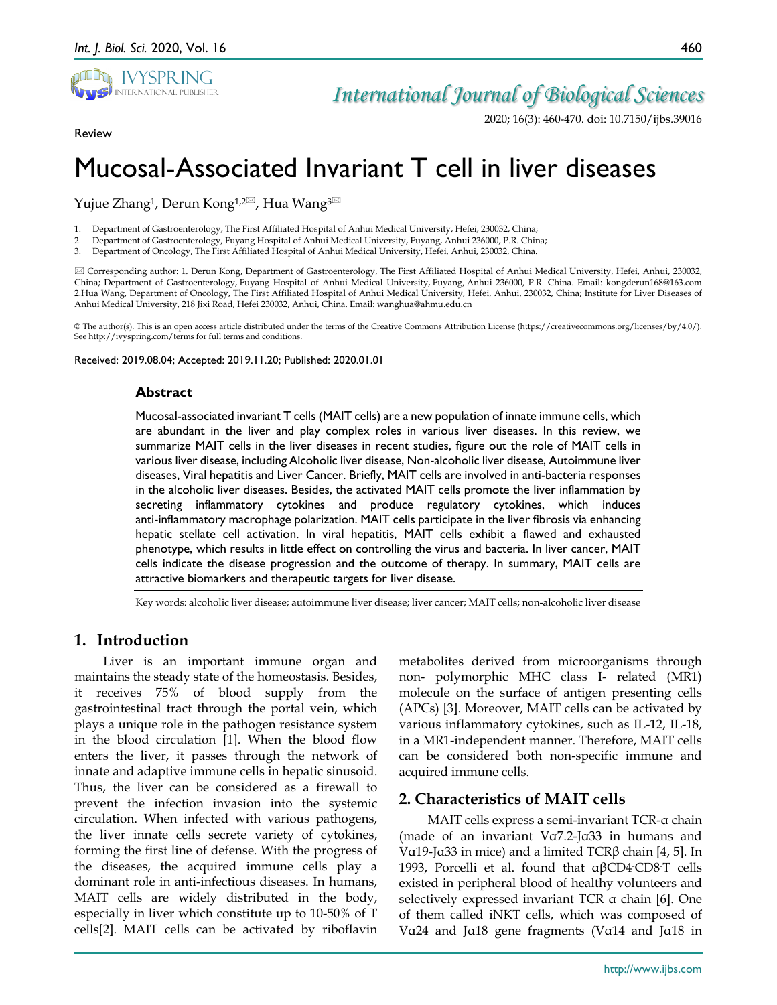

## *International Journal of Biological Sciences*

2020; 16(3): 460-470. doi: 10.7150/ijbs.39016

Review

# Mucosal-Associated Invariant T cell in liver diseases

Yujue Zhang<sup>1</sup>, Derun Kong<sup>1,2 $\boxtimes$ </sup>, Hua Wang<sup>3 $\boxtimes$ </sup>

1. Department of Gastroenterology, The First Affiliated Hospital of Anhui Medical University, Hefei, 230032, China;

2. Department of Gastroenterology, Fuyang Hospital of Anhui Medical University, Fuyang, Anhui 236000, P.R. China;

3. Department of Oncology, The First Affiliated Hospital of Anhui Medical University, Hefei, Anhui, 230032, China.

 Corresponding author: 1. Derun Kong, Department of Gastroenterology, The First Affiliated Hospital of Anhui Medical University, Hefei, Anhui, 230032, China; Department of Gastroenterology, Fuyang Hospital of Anhui Medical University, Fuyang, Anhui 236000, P.R. China. Email: kongderun168@163.com 2.Hua Wang, Department of Oncology, The First Affiliated Hospital of Anhui Medical University, Hefei, Anhui, 230032, China; Institute for Liver Diseases of Anhui Medical University, 218 Jixi Road, Hefei 230032, Anhui, China. Email: wanghua@ahmu.edu.cn

© The author(s). This is an open access article distributed under the terms of the Creative Commons Attribution License (https://creativecommons.org/licenses/by/4.0/). See http://ivyspring.com/terms for full terms and conditions.

Received: 2019.08.04; Accepted: 2019.11.20; Published: 2020.01.01

### **Abstract**

Mucosal-associated invariant T cells (MAIT cells) are a new population of innate immune cells, which are abundant in the liver and play complex roles in various liver diseases. In this review, we summarize MAIT cells in the liver diseases in recent studies, figure out the role of MAIT cells in various liver disease, including Alcoholic liver disease, Non-alcoholic liver disease, Autoimmune liver diseases, Viral hepatitis and Liver Cancer. Briefly, MAIT cells are involved in anti-bacteria responses in the alcoholic liver diseases. Besides, the activated MAIT cells promote the liver inflammation by secreting inflammatory cytokines and produce regulatory cytokines, which induces anti-inflammatory macrophage polarization. MAIT cells participate in the liver fibrosis via enhancing hepatic stellate cell activation. In viral hepatitis, MAIT cells exhibit a flawed and exhausted phenotype, which results in little effect on controlling the virus and bacteria. In liver cancer, MAIT cells indicate the disease progression and the outcome of therapy. In summary, MAIT cells are attractive biomarkers and therapeutic targets for liver disease.

Key words: alcoholic liver disease; autoimmune liver disease; liver cancer; MAIT cells; non-alcoholic liver disease

## **1. Introduction**

Liver is an important immune organ and maintains the steady state of the homeostasis. Besides, it receives 75% of blood supply from the gastrointestinal tract through the portal vein, which plays a unique role in the pathogen resistance system in the blood circulation [1]. When the blood flow enters the liver, it passes through the network of innate and adaptive immune cells in hepatic sinusoid. Thus, the liver can be considered as a firewall to prevent the infection invasion into the systemic circulation. When infected with various pathogens, the liver innate cells secrete variety of cytokines, forming the first line of defense. With the progress of the diseases, the acquired immune cells play a dominant role in anti-infectious diseases. In humans, MAIT cells are widely distributed in the body, especially in liver which constitute up to 10-50% of T cells[2]. MAIT cells can be activated by riboflavin

metabolites derived from microorganisms through non- polymorphic MHC class I- related (MR1) molecule on the surface of antigen presenting cells (APCs) [3]. Moreover, MAIT cells can be activated by various inflammatory cytokines, such as IL-12, IL-18, in a MR1-independent manner. Therefore, MAIT cells can be considered both non-specific immune and acquired immune cells.

## **2. Characteristics of MAIT cells**

MAIT cells express a semi-invariant TCR-α chain (made of an invariant Vα7.2-Jα33 in humans and Vα19-Jα33 in mice) and a limited TCRβ chain [4, 5]. In 1993, Porcelli et al. found that αβCD4- CD8- T cells existed in peripheral blood of healthy volunteers and selectively expressed invariant TCR α chain [6]. One of them called iNKT cells, which was composed of Vα24 and Jα18 gene fragments (Vα14 and Jα18 in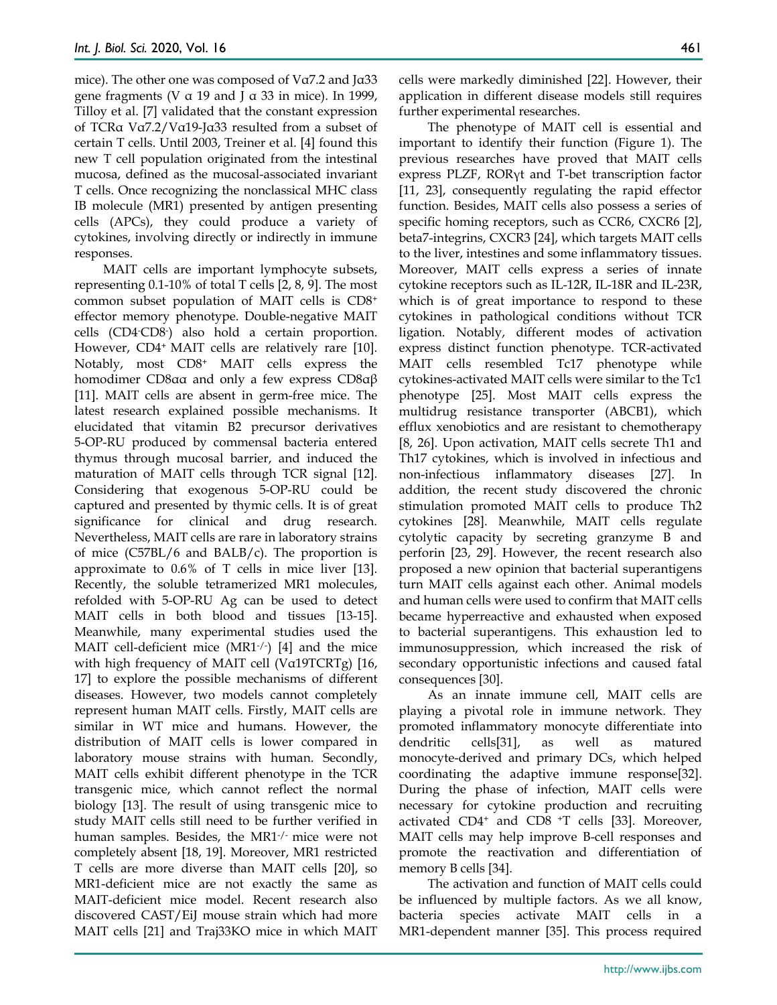mice). The other one was composed of Vα7.2 and Jα33 gene fragments (V  $\alpha$  19 and J  $\alpha$  33 in mice). In 1999, Tilloy et al. [7] validated that the constant expression of TCRα Vα7.2/Vα19-Jα33 resulted from a subset of certain T cells. Until 2003, Treiner et al. [4] found this new T cell population originated from the intestinal mucosa, defined as the mucosal-associated invariant T cells. Once recognizing the nonclassical MHC class IB molecule (MR1) presented by antigen presenting cells (APCs), they could produce a variety of cytokines, involving directly or indirectly in immune responses.

MAIT cells are important lymphocyte subsets, representing 0.1-10% of total T cells [2, 8, 9]. The most common subset population of MAIT cells is CD8+ effector memory phenotype. Double-negative MAIT cells (CD4- CD8- ) also hold a certain proportion. However, CD4+ MAIT cells are relatively rare [10]. Notably, most CD8+ MAIT cells express the homodimer CD8αα and only a few express CD8αβ [11]. MAIT cells are absent in germ-free mice. The latest research explained possible mechanisms. It elucidated that vitamin B2 precursor derivatives 5-OP-RU produced by commensal bacteria entered thymus through mucosal barrier, and induced the maturation of MAIT cells through TCR signal [12]. Considering that exogenous 5-OP-RU could be captured and presented by thymic cells. It is of great significance for clinical and drug research. Nevertheless, MAIT cells are rare in laboratory strains of mice  $(C57BL/6$  and  $BALB/c)$ . The proportion is approximate to 0.6% of T cells in mice liver [13]. Recently, the soluble tetramerized MR1 molecules, refolded with 5-OP-RU Ag can be used to detect MAIT cells in both blood and tissues [13-15]. Meanwhile, many experimental studies used the MAIT cell-deficient mice (MR1-/- ) [4] and the mice with high frequency of MAIT cell (Vα19TCRTg) [16, 17] to explore the possible mechanisms of different diseases. However, two models cannot completely represent human MAIT cells. Firstly, MAIT cells are similar in WT mice and humans. However, the distribution of MAIT cells is lower compared in laboratory mouse strains with human. Secondly, MAIT cells exhibit different phenotype in the TCR transgenic mice, which cannot reflect the normal biology [13]. The result of using transgenic mice to study MAIT cells still need to be further verified in human samples. Besides, the MR1-/- mice were not completely absent [18, 19]. Moreover, MR1 restricted T cells are more diverse than MAIT cells [20], so MR1-deficient mice are not exactly the same as MAIT-deficient mice model. Recent research also discovered CAST/EiJ mouse strain which had more MAIT cells [21] and Traj33KO mice in which MAIT

cells were markedly diminished [22]. However, their application in different disease models still requires further experimental researches.

The phenotype of MAIT cell is essential and important to identify their function (Figure 1). The previous researches have proved that MAIT cells express PLZF, RORγt and T-bet transcription factor [11, 23], consequently regulating the rapid effector function. Besides, MAIT cells also possess a series of specific homing receptors, such as CCR6, CXCR6 [2], beta7-integrins, CXCR3 [24], which targets MAIT cells to the liver, intestines and some inflammatory tissues. Moreover, MAIT cells express a series of innate cytokine receptors such as IL-12R, IL-18R and IL-23R, which is of great importance to respond to these cytokines in pathological conditions without TCR ligation. Notably, different modes of activation express distinct function phenotype. TCR-activated MAIT cells resembled Tc17 phenotype while cytokines-activated MAIT cells were similar to the Tc1 phenotype [25]. Most MAIT cells express the multidrug resistance transporter (ABCB1), which efflux xenobiotics and are resistant to chemotherapy [8, 26]. Upon activation, MAIT cells secrete Th1 and Th17 cytokines, which is involved in infectious and non-infectious inflammatory diseases [27]. In addition, the recent study discovered the chronic stimulation promoted MAIT cells to produce Th2 cytokines [28]. Meanwhile, MAIT cells regulate cytolytic capacity by secreting granzyme B and perforin [23, 29]. However, the recent research also proposed a new opinion that bacterial superantigens turn MAIT cells against each other. Animal models and human cells were used to confirm that MAIT cells became hyperreactive and exhausted when exposed to bacterial superantigens. This exhaustion led to immunosuppression, which increased the risk of secondary opportunistic infections and caused fatal consequences [30].

As an innate immune cell, MAIT cells are playing a pivotal role in immune network. They promoted inflammatory monocyte differentiate into dendritic cells[31], as well as matured monocyte-derived and primary DCs, which helped coordinating the adaptive immune response[32]. During the phase of infection, MAIT cells were necessary for cytokine production and recruiting activated CD4+ and CD8 +T cells [33]. Moreover, MAIT cells may help improve B-cell responses and promote the reactivation and differentiation of memory B cells [34].

The activation and function of MAIT cells could be influenced by multiple factors. As we all know, bacteria species activate MAIT cells in a MR1-dependent manner [35]. This process required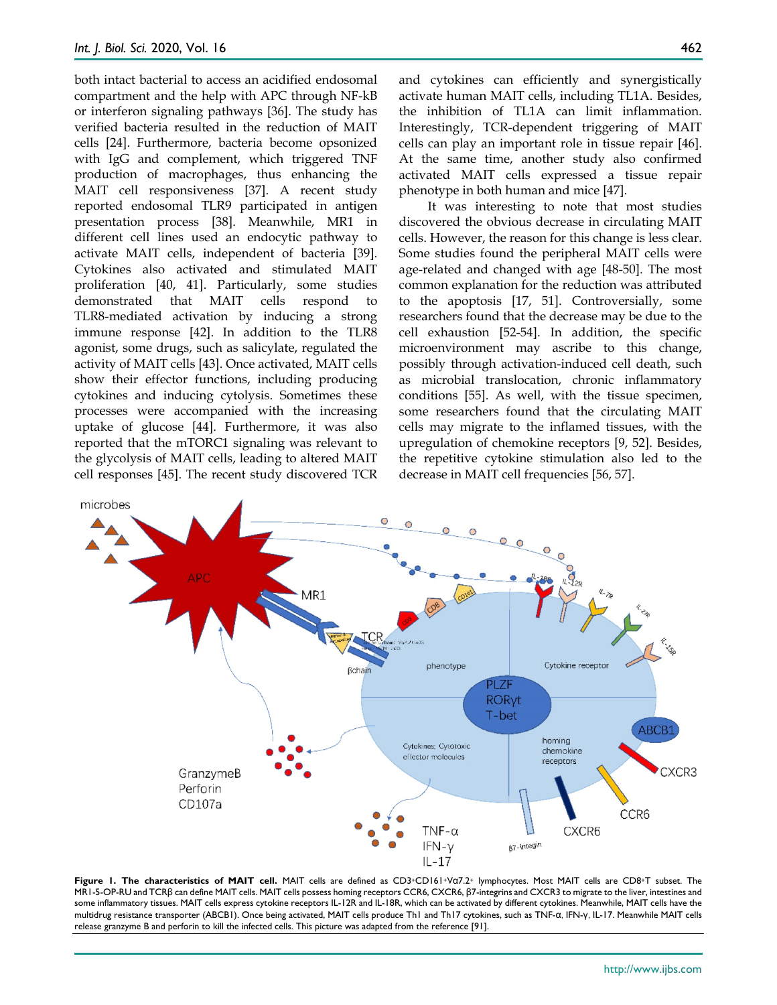both intact bacterial to access an acidified endosomal compartment and the help with APC through NF-kB or interferon signaling pathways [36]. The study has verified bacteria resulted in the reduction of MAIT cells [24]. Furthermore, bacteria become opsonized with IgG and complement, which triggered TNF production of macrophages, thus enhancing the MAIT cell responsiveness [37]. A recent study reported endosomal TLR9 participated in antigen presentation process [38]. Meanwhile, MR1 in different cell lines used an endocytic pathway to activate MAIT cells, independent of bacteria [39]. Cytokines also activated and stimulated MAIT proliferation [40, 41]. Particularly, some studies demonstrated that MAIT cells respond to TLR8-mediated activation by inducing a strong immune response [42]. In addition to the TLR8 agonist, some drugs, such as salicylate, regulated the activity of MAIT cells [43]. Once activated, MAIT cells show their effector functions, including producing cytokines and inducing cytolysis. Sometimes these processes were accompanied with the increasing uptake of glucose [44]. Furthermore, it was also reported that the mTORC1 signaling was relevant to the glycolysis of MAIT cells, leading to altered MAIT cell responses [45]. The recent study discovered TCR

and cytokines can efficiently and synergistically activate human MAIT cells, including TL1A. Besides, the inhibition of TL1A can limit inflammation. Interestingly, TCR-dependent triggering of MAIT cells can play an important role in tissue repair [46]. At the same time, another study also confirmed activated MAIT cells expressed a tissue repair phenotype in both human and mice [47].

It was interesting to note that most studies discovered the obvious decrease in circulating MAIT cells. However, the reason for this change is less clear. Some studies found the peripheral MAIT cells were age-related and changed with age [48-50]. The most common explanation for the reduction was attributed to the apoptosis [17, 51]. Controversially, some researchers found that the decrease may be due to the cell exhaustion [52-54]. In addition, the specific microenvironment may ascribe to this change, possibly through activation-induced cell death, such as microbial translocation, chronic inflammatory conditions [55]. As well, with the tissue specimen, some researchers found that the circulating MAIT cells may migrate to the inflamed tissues, with the upregulation of chemokine receptors [9, 52]. Besides, the repetitive cytokine stimulation also led to the decrease in MAIT cell frequencies [56, 57].



Figure 1. The characteristics of MAIT cell. MAIT cells are defined as CD3+CD161+Vα7.2+ lymphocytes. Most MAIT cells are CD8+T subset. The MR1-5-OP-RU and TCRβ can define MAIT cells. MAIT cells possess homing receptors CCR6, CXCR6, β7-integrins and CXCR3 to migrate to the liver, intestines and some inflammatory tissues. MAIT cells express cytokine receptors IL-12R and IL-18R, which can be activated by different cytokines. Meanwhile, MAIT cells have the multidrug resistance transporter (ABCB1). Once being activated, MAIT cells produce Th1 and Th17 cytokines, such as TNF-α, IFN-γ, IL-17. Meanwhile MAIT cells release granzyme B and perforin to kill the infected cells. This picture was adapted from the reference [91].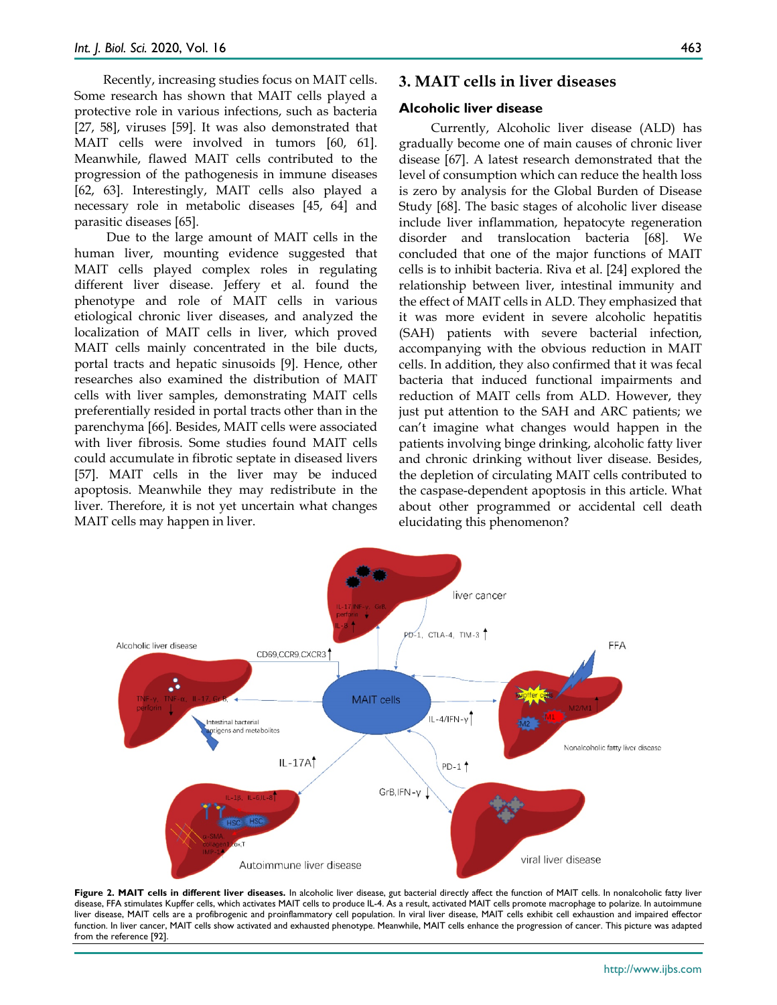Recently, increasing studies focus on MAIT cells. Some research has shown that MAIT cells played a protective role in various infections, such as bacteria [27, 58], viruses [59]. It was also demonstrated that MAIT cells were involved in tumors [60, 61]. Meanwhile, flawed MAIT cells contributed to the progression of the pathogenesis in immune diseases [62, 63]. Interestingly, MAIT cells also played a necessary role in metabolic diseases [45, 64] and parasitic diseases [65].

Due to the large amount of MAIT cells in the human liver, mounting evidence suggested that MAIT cells played complex roles in regulating different liver disease. Jeffery et al. found the phenotype and role of MAIT cells in various etiological chronic liver diseases, and analyzed the localization of MAIT cells in liver, which proved MAIT cells mainly concentrated in the bile ducts, portal tracts and hepatic sinusoids [9]. Hence, other researches also examined the distribution of MAIT cells with liver samples, demonstrating MAIT cells preferentially resided in portal tracts other than in the parenchyma [66]. Besides, MAIT cells were associated with liver fibrosis. Some studies found MAIT cells could accumulate in fibrotic septate in diseased livers [57]. MAIT cells in the liver may be induced apoptosis. Meanwhile they may redistribute in the liver. Therefore, it is not yet uncertain what changes MAIT cells may happen in liver.

### **3. MAIT cells in liver diseases**

#### **Alcoholic liver disease**

Currently, Alcoholic liver disease (ALD) has gradually become one of main causes of chronic liver disease [67]. A latest research demonstrated that the level of consumption which can reduce the health loss is zero by analysis for the Global Burden of Disease Study [68]. The basic stages of alcoholic liver disease include liver inflammation, hepatocyte regeneration disorder and translocation bacteria [68]. We concluded that one of the major functions of MAIT cells is to inhibit bacteria. Riva et al. [24] explored the relationship between liver, intestinal immunity and the effect of MAIT cells in ALD. They emphasized that it was more evident in severe alcoholic hepatitis (SAH) patients with severe bacterial infection, accompanying with the obvious reduction in MAIT cells. In addition, they also confirmed that it was fecal bacteria that induced functional impairments and reduction of MAIT cells from ALD. However, they just put attention to the SAH and ARC patients; we can't imagine what changes would happen in the patients involving binge drinking, alcoholic fatty liver and chronic drinking without liver disease. Besides, the depletion of circulating MAIT cells contributed to the caspase-dependent apoptosis in this article. What about other programmed or accidental cell death elucidating this phenomenon?



Figure 2. MAIT cells in different liver diseases. In alcoholic liver disease, gut bacterial directly affect the function of MAIT cells. In nonalcoholic fatty liver disease, FFA stimulates Kupffer cells, which activates MAIT cells to produce IL-4. As a result, activated MAIT cells promote macrophage to polarize. In autoimmune liver disease, MAIT cells are a profibrogenic and proinflammatory cell population. In viral liver disease, MAIT cells exhibit cell exhaustion and impaired effector function. In liver cancer, MAIT cells show activated and exhausted phenotype. Meanwhile, MAIT cells enhance the progression of cancer. This picture was adapted from the reference [92].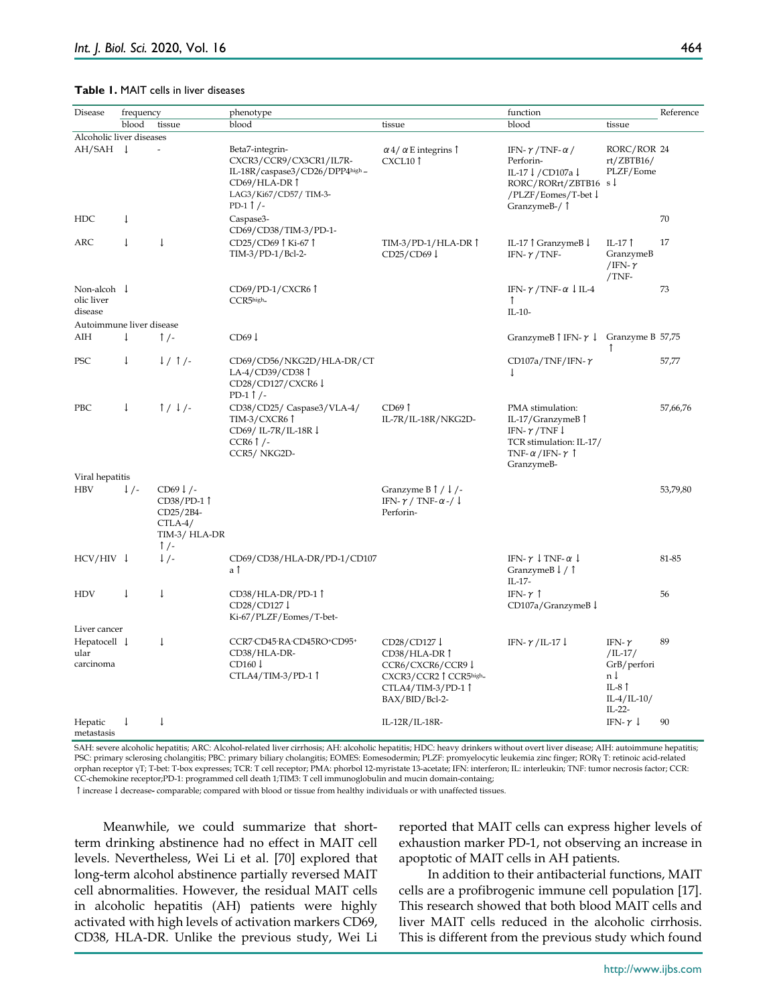#### **Table 1.** MAIT cells in liver diseases

| Disease                                      | frequency       |                                                                                                | phenotype                                                                                                                                    |                                                                                                                             | function                                                                                                                                            |                                                                                                      | Reference |
|----------------------------------------------|-----------------|------------------------------------------------------------------------------------------------|----------------------------------------------------------------------------------------------------------------------------------------------|-----------------------------------------------------------------------------------------------------------------------------|-----------------------------------------------------------------------------------------------------------------------------------------------------|------------------------------------------------------------------------------------------------------|-----------|
|                                              | blood           | tissue                                                                                         | blood                                                                                                                                        | tissue                                                                                                                      | blood                                                                                                                                               | tissue                                                                                               |           |
| Alcoholic liver diseases                     |                 |                                                                                                |                                                                                                                                              |                                                                                                                             |                                                                                                                                                     |                                                                                                      |           |
| $AH/SAH$ ↓                                   |                 | L,                                                                                             | Beta7-integrin-<br>CXCR3/CCR9/CX3CR1/IL7R-<br>IL-18R/caspase3/CD26/DPP4high-<br>CD69/HLA-DR Î<br>LAG3/Ki67/CD57/TIM-3-<br>PD-1 $\uparrow$ /- | $\alpha$ 4/ $\alpha$ E integrins $\uparrow$<br>CXCL10 <sup>1</sup>                                                          | IFN- $\gamma$ /TNF- $\alpha$ /<br>Perforin-<br>IL-17↓/CD107a↓<br>RORC/RORrt/ZBTB16 $s \downarrow$<br>/PLZF/Eomes/T-bet↓<br>GranzymeB-/ 1            | RORC/ROR 24<br>rt/ZBTB16/<br>PLZF/Eome                                                               |           |
| <b>HDC</b>                                   | $\downarrow$    |                                                                                                | Caspase3-<br>CD69/CD38/TIM-3/PD-1-                                                                                                           |                                                                                                                             |                                                                                                                                                     |                                                                                                      | 70        |
| ARC                                          | $\downarrow$    | $\downarrow$                                                                                   | CD25/CD69↑Ki-67↑<br>TIM-3/PD-1/Bcl-2-                                                                                                        | TIM-3/PD-1/HLA-DR 1<br>$CD25/CD69 \downarrow$                                                                               | IL-17 $\uparrow$ GranzymeB $\downarrow$<br>IFN- $\gamma$ /TNF-                                                                                      | IL-17 $\uparrow$<br>GranzymeB<br>/IFN- $\gamma$<br>/TNF-                                             | 17        |
| Non-alcoh $\downarrow$<br>olic liver         |                 |                                                                                                | CD69/PD-1/CXCR6<br>CCR5high_                                                                                                                 |                                                                                                                             | IFN- $\gamma$ /TNF- $\alpha$ ↓ IL-4<br>$\mathbf{r}$                                                                                                 |                                                                                                      | 73        |
| disease                                      |                 |                                                                                                |                                                                                                                                              |                                                                                                                             | $IL-10-$                                                                                                                                            |                                                                                                      |           |
| Autoimmune liver disease                     |                 |                                                                                                |                                                                                                                                              |                                                                                                                             |                                                                                                                                                     |                                                                                                      |           |
| AIH                                          | $\downarrow$    | $\uparrow$ /-                                                                                  | CD69 <sup>1</sup>                                                                                                                            |                                                                                                                             | GranzymeB $\uparrow$ IFN- $\uparrow \downarrow$ Granzyme B 57,75                                                                                    | ↑                                                                                                    |           |
| PSC                                          | $\downarrow$    | $1/1$ /-                                                                                       | CD69/CD56/NKG2D/HLA-DR/CT<br>LA-4/CD39/CD38 1<br>CD28/CD127/CXCR6↓<br>PD-1 $\uparrow$ /-                                                     |                                                                                                                             | CD107a/TNF/IFN- $\gamma$<br>$\downarrow$                                                                                                            |                                                                                                      | 57,77     |
| PBC                                          | $\downarrow$    | $1/1/-$                                                                                        | CD38/CD25/ Caspase3/VLA-4/<br>TIM-3/CXCR6 Î<br>CD69/ IL-7R/IL-18R↓<br>CCR6 $\uparrow$ /-<br>CCR5/NKG2D-                                      | $CD69$ $\uparrow$<br>IL-7R/IL-18R/NKG2D-                                                                                    | PMA stimulation:<br>IL-17/GranzymeB 1<br>IFN- $\gamma$ /TNF $\downarrow$<br>TCR stimulation: IL-17/<br>TNF- $\alpha$ /IFN- $\gamma$  <br>GranzymeB- |                                                                                                      | 57,66,76  |
| Viral hepatitis                              |                 |                                                                                                |                                                                                                                                              |                                                                                                                             |                                                                                                                                                     |                                                                                                      |           |
| <b>HBV</b>                                   | $\downarrow$ /- | $CD69 \downarrow$ /-<br>CD38/PD-11<br>CD25/2B4-<br>$CTLA-4/$<br>TIM-3/ HLA-DR<br>$\uparrow$ /- |                                                                                                                                              | Granzyme $B \uparrow / \downarrow$ /-<br>IFN- $\gamma$ / TNF- $\alpha$ -/ ↓<br>Perforin-                                    |                                                                                                                                                     |                                                                                                      | 53,79,80  |
| $HCV/HIV \downarrow$                         |                 | $\downarrow$ /-                                                                                | CD69/CD38/HLA-DR/PD-1/CD107<br>a Î                                                                                                           |                                                                                                                             | IFN- $\gamma \downarrow$ TNF- $\alpha \downarrow$<br>GranzymeB $\downarrow$ / $\uparrow$<br>$IL-17-$                                                |                                                                                                      | 81-85     |
| <b>HDV</b>                                   | $\downarrow$    | $\downarrow$                                                                                   | CD38/HLA-DR/PD-11<br>CD28/CD127↓<br>Ki-67/PLZF/Eomes/T-bet-                                                                                  |                                                                                                                             | IFN- $\gamma$ $\uparrow$<br>CD107a/GranzymeB↓                                                                                                       |                                                                                                      | 56        |
| Liver cancer                                 |                 |                                                                                                |                                                                                                                                              |                                                                                                                             |                                                                                                                                                     |                                                                                                      |           |
| Hepatocell $\downarrow$<br>ular<br>carcinoma |                 | $\downarrow$                                                                                   | CCR7-CD45-RA-CD45RO+CD95+<br>CD38/HLA-DR-<br>$CD160 \downarrow$<br>$CTLA4/TIM-3/PD-1$ <sup>↑</sup>                                           | CD28/CD127↓<br>CD38/HLA-DR Î<br>CCR6/CXCR6/CCR9↓<br>CXCR3/CCR2↑CCR5high_<br>$CTLA4/TIM-3/PD-1$ $\uparrow$<br>BAX/BID/Bcl-2- | IFN- $\gamma$ /IL-17 $\downarrow$                                                                                                                   | IFN- $\gamma$<br>$/$ IL-17 $/$<br>GrB/perfori<br>n l<br>IL-8 $\uparrow$<br>$IL-4/IL-10/$<br>$IL-22-$ | 89        |
| Hepatic<br>metastasis                        | $\downarrow$    | $\downarrow$                                                                                   |                                                                                                                                              | $IL-12R/IL-18R-$                                                                                                            |                                                                                                                                                     | IFN- $\gamma$ $\downarrow$                                                                           | 90        |

SAH: severe alcoholic hepatitis; ARC: Alcohol-related liver cirrhosis; AH: alcoholic hepatitis; HDC: heavy drinkers without overt liver disease; AIH: autoimmune hepatitis; PSC: primary sclerosing cholangitis; PBC: primary biliary cholangitis; EOMES: Eomesodermin; PLZF: promyelocytic leukemia zinc finger; RORγ T: retinoic acid-related orphan receptor γT; T-bet: T-box expresses; TCR: T cell receptor; PMA: phorbol 12-myristate 13-acetate; IFN: interferon; IL: interleukin; TNF: tumor necrosis factor; CCR: CC-chemokine receptor;PD-1: programmed cell death 1;TIM3: T cell immunoglobulin and mucin domain-containg;

↑increase↓decrease**-** comparable; compared with blood or tissue from healthy individuals or with unaffected tissues.

Meanwhile, we could summarize that shortterm drinking abstinence had no effect in MAIT cell levels. Nevertheless, Wei Li et al. [70] explored that long-term alcohol abstinence partially reversed MAIT cell abnormalities. However, the residual MAIT cells in alcoholic hepatitis (AH) patients were highly activated with high levels of activation markers CD69, CD38, HLA-DR. Unlike the previous study, Wei Li reported that MAIT cells can express higher levels of exhaustion marker PD-1, not observing an increase in apoptotic of MAIT cells in AH patients.

In addition to their antibacterial functions, MAIT cells are a profibrogenic immune cell population [17]. This research showed that both blood MAIT cells and liver MAIT cells reduced in the alcoholic cirrhosis. This is different from the previous study which found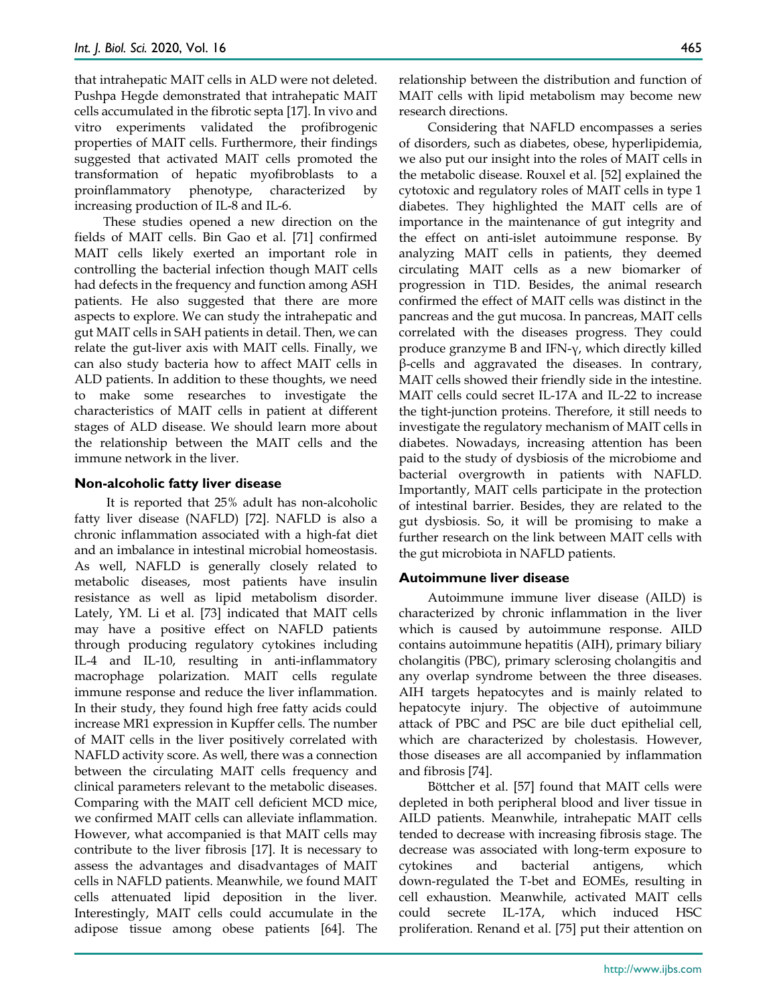that intrahepatic MAIT cells in ALD were not deleted. Pushpa Hegde demonstrated that intrahepatic MAIT cells accumulated in the fibrotic septa [17]. In vivo and vitro experiments validated the profibrogenic properties of MAIT cells. Furthermore, their findings suggested that activated MAIT cells promoted the transformation of hepatic myofibroblasts to a proinflammatory phenotype, characterized by increasing production of IL-8 and IL-6.

These studies opened a new direction on the fields of MAIT cells. Bin Gao et al. [71] confirmed MAIT cells likely exerted an important role in controlling the bacterial infection though MAIT cells had defects in the frequency and function among ASH patients. He also suggested that there are more aspects to explore. We can study the intrahepatic and gut MAIT cells in SAH patients in detail. Then, we can relate the gut-liver axis with MAIT cells. Finally, we can also study bacteria how to affect MAIT cells in ALD patients. In addition to these thoughts, we need to make some researches to investigate the characteristics of MAIT cells in patient at different stages of ALD disease. We should learn more about the relationship between the MAIT cells and the immune network in the liver.

#### **Non-alcoholic fatty liver disease**

It is reported that 25% adult has non-alcoholic fatty liver disease (NAFLD) [72]. NAFLD is also a chronic inflammation associated with a high-fat diet and an imbalance in intestinal microbial homeostasis. As well, NAFLD is generally closely related to metabolic diseases, most patients have insulin resistance as well as lipid metabolism disorder. Lately, YM. Li et al. [73] indicated that MAIT cells may have a positive effect on NAFLD patients through producing regulatory cytokines including IL-4 and IL-10, resulting in anti-inflammatory macrophage polarization. MAIT cells regulate immune response and reduce the liver inflammation. In their study, they found high free fatty acids could increase MR1 expression in Kupffer cells. The number of MAIT cells in the liver positively correlated with NAFLD activity score. As well, there was a connection between the circulating MAIT cells frequency and clinical parameters relevant to the metabolic diseases. Comparing with the MAIT cell deficient MCD mice, we confirmed MAIT cells can alleviate inflammation. However, what accompanied is that MAIT cells may contribute to the liver fibrosis [17]. It is necessary to assess the advantages and disadvantages of MAIT cells in NAFLD patients. Meanwhile, we found MAIT cells attenuated lipid deposition in the liver. Interestingly, MAIT cells could accumulate in the adipose tissue among obese patients [64]. The

relationship between the distribution and function of MAIT cells with lipid metabolism may become new research directions.

Considering that NAFLD encompasses a series of disorders, such as diabetes, obese, hyperlipidemia, we also put our insight into the roles of MAIT cells in the metabolic disease. Rouxel et al. [52] explained the cytotoxic and regulatory roles of MAIT cells in type 1 diabetes. They highlighted the MAIT cells are of importance in the maintenance of gut integrity and the effect on anti-islet autoimmune response. By analyzing MAIT cells in patients, they deemed circulating MAIT cells as a new biomarker of progression in T1D. Besides, the animal research confirmed the effect of MAIT cells was distinct in the pancreas and the gut mucosa. In pancreas, MAIT cells correlated with the diseases progress. They could produce granzyme B and IFN-γ, which directly killed β-cells and aggravated the diseases. In contrary, MAIT cells showed their friendly side in the intestine. MAIT cells could secret IL-17A and IL-22 to increase the tight-junction proteins. Therefore, it still needs to investigate the regulatory mechanism of MAIT cells in diabetes. Nowadays, increasing attention has been paid to the study of dysbiosis of the microbiome and bacterial overgrowth in patients with NAFLD. Importantly, MAIT cells participate in the protection of intestinal barrier. Besides, they are related to the gut dysbiosis. So, it will be promising to make a further research on the link between MAIT cells with the gut microbiota in NAFLD patients.

## **Autoimmune liver disease**

Autoimmune immune liver disease (AILD) is characterized by chronic inflammation in the liver which is caused by autoimmune response. AILD contains autoimmune hepatitis (AIH), primary biliary cholangitis (PBC), primary sclerosing cholangitis and any overlap syndrome between the three diseases. AIH targets hepatocytes and is mainly related to hepatocyte injury. The objective of autoimmune attack of PBC and PSC are bile duct epithelial cell, which are characterized by cholestasis. However, those diseases are all accompanied by inflammation and fibrosis [74].

Böttcher et al. [57] found that MAIT cells were depleted in both peripheral blood and liver tissue in AILD patients. Meanwhile, intrahepatic MAIT cells tended to decrease with increasing fibrosis stage. The decrease was associated with long-term exposure to cytokines and bacterial antigens, which down-regulated the T-bet and EOMEs, resulting in cell exhaustion. Meanwhile, activated MAIT cells could secrete IL-17A, which induced HSC proliferation. Renand et al. [75] put their attention on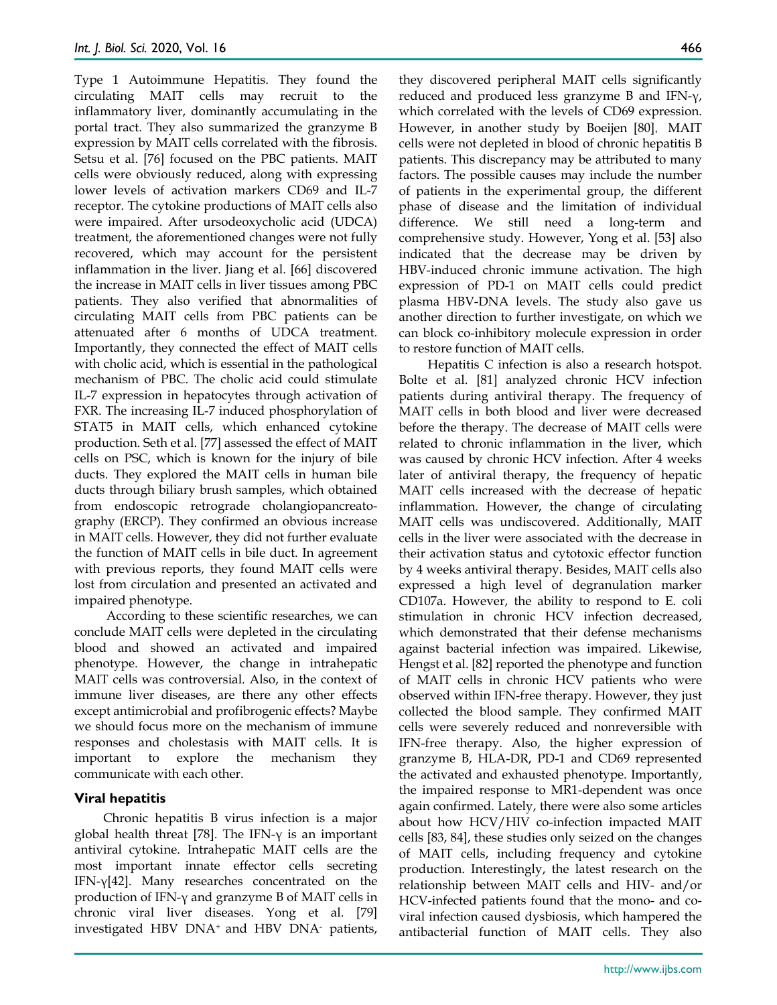Type 1 Autoimmune Hepatitis. They found the circulating MAIT cells may recruit to the inflammatory liver, dominantly accumulating in the portal tract. They also summarized the granzyme B expression by MAIT cells correlated with the fibrosis. Setsu et al. [76] focused on the PBC patients. MAIT cells were obviously reduced, along with expressing lower levels of activation markers CD69 and IL-7 receptor. The cytokine productions of MAIT cells also were impaired. After ursodeoxycholic acid (UDCA) treatment, the aforementioned changes were not fully recovered, which may account for the persistent inflammation in the liver. Jiang et al. [66] discovered the increase in MAIT cells in liver tissues among PBC patients. They also verified that abnormalities of circulating MAIT cells from PBC patients can be attenuated after 6 months of UDCA treatment. Importantly, they connected the effect of MAIT cells with cholic acid, which is essential in the pathological mechanism of PBC. The cholic acid could stimulate IL-7 expression in hepatocytes through activation of FXR. The increasing IL-7 induced phosphorylation of STAT5 in MAIT cells, which enhanced cytokine production. Seth et al. [77] assessed the effect of MAIT cells on PSC, which is known for the injury of bile ducts. They explored the MAIT cells in human bile ducts through biliary brush samples, which obtained from endoscopic retrograde cholangiopancreatography (ERCP). They confirmed an obvious increase in MAIT cells. However, they did not further evaluate the function of MAIT cells in bile duct. In agreement with previous reports, they found MAIT cells were lost from circulation and presented an activated and impaired phenotype.

According to these scientific researches, we can conclude MAIT cells were depleted in the circulating blood and showed an activated and impaired phenotype. However, the change in intrahepatic MAIT cells was controversial. Also, in the context of immune liver diseases, are there any other effects except antimicrobial and profibrogenic effects? Maybe we should focus more on the mechanism of immune responses and cholestasis with MAIT cells. It is important to explore the mechanism they communicate with each other.

## **Viral hepatitis**

Chronic hepatitis B virus infection is a major global health threat [78]. The IFN-γ is an important antiviral cytokine. Intrahepatic MAIT cells are the most important innate effector cells secreting IFN-γ[42]. Many researches concentrated on the production of IFN-γ and granzyme B of MAIT cells in chronic viral liver diseases. Yong et al. [79] investigated HBV DNA+ and HBV DNA- patients,

they discovered peripheral MAIT cells significantly reduced and produced less granzyme B and IFN-γ, which correlated with the levels of CD69 expression. However, in another study by Boeijen [80], MAIT cells were not depleted in blood of chronic hepatitis B patients. This discrepancy may be attributed to many factors. The possible causes may include the number of patients in the experimental group, the different phase of disease and the limitation of individual difference. We still need a long-term and comprehensive study. However, Yong et al. [53] also indicated that the decrease may be driven by HBV-induced chronic immune activation. The high expression of PD-1 on MAIT cells could predict plasma HBV-DNA levels. The study also gave us another direction to further investigate, on which we can block co-inhibitory molecule expression in order to restore function of MAIT cells.

Hepatitis C infection is also a research hotspot. Bolte et al. [81] analyzed chronic HCV infection patients during antiviral therapy. The frequency of MAIT cells in both blood and liver were decreased before the therapy. The decrease of MAIT cells were related to chronic inflammation in the liver, which was caused by chronic HCV infection. After 4 weeks later of antiviral therapy, the frequency of hepatic MAIT cells increased with the decrease of hepatic inflammation. However, the change of circulating MAIT cells was undiscovered. Additionally, MAIT cells in the liver were associated with the decrease in their activation status and cytotoxic effector function by 4 weeks antiviral therapy. Besides, MAIT cells also expressed a high level of degranulation marker CD107a. However, the ability to respond to E. coli stimulation in chronic HCV infection decreased, which demonstrated that their defense mechanisms against bacterial infection was impaired. Likewise, Hengst et al. [82] reported the phenotype and function of MAIT cells in chronic HCV patients who were observed within IFN-free therapy. However, they just collected the blood sample. They confirmed MAIT cells were severely reduced and nonreversible with IFN-free therapy. Also, the higher expression of granzyme B, HLA-DR, PD-1 and CD69 represented the activated and exhausted phenotype. Importantly, the impaired response to MR1-dependent was once again confirmed. Lately, there were also some articles about how HCV/HIV co-infection impacted MAIT cells [83, 84], these studies only seized on the changes of MAIT cells, including frequency and cytokine production. Interestingly, the latest research on the relationship between MAIT cells and HIV- and/or HCV-infected patients found that the mono- and coviral infection caused dysbiosis, which hampered the antibacterial function of MAIT cells. They also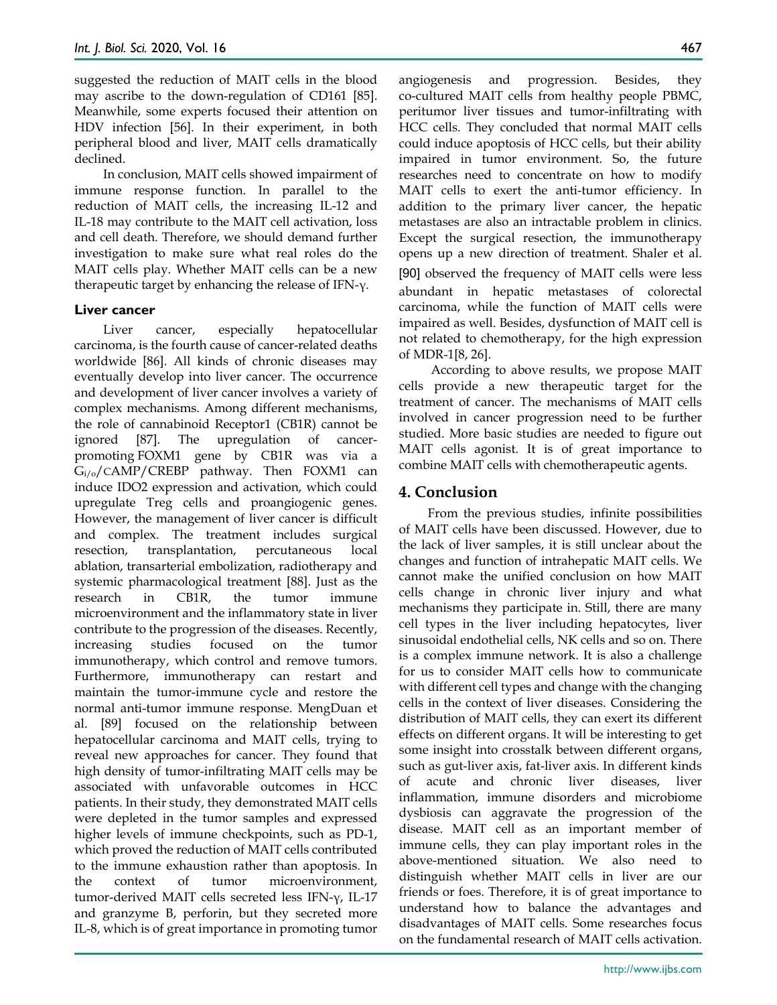suggested the reduction of MAIT cells in the blood may ascribe to the down-regulation of CD161 [85]. Meanwhile, some experts focused their attention on HDV infection [56]. In their experiment, in both peripheral blood and liver, MAIT cells dramatically declined.

In conclusion, MAIT cells showed impairment of immune response function. In parallel to the reduction of MAIT cells, the increasing IL-12 and IL-18 may contribute to the MAIT cell activation, loss and cell death. Therefore, we should demand further investigation to make sure what real roles do the MAIT cells play. Whether MAIT cells can be a new therapeutic target by enhancing the release of IFN-γ.

### **Liver cancer**

Liver cancer, especially hepatocellular carcinoma, is the fourth cause of cancer-related deaths worldwide [86]. All kinds of chronic diseases may eventually develop into liver cancer. The occurrence and development of liver cancer involves a variety of complex mechanisms. Among different mechanisms, the role of cannabinoid Receptor1 (CB1R) cannot be ignored [87]. The upregulation of cancerpromoting FOXM1 gene by CB1R was via a  $G_{i/o}/c$ AMP/CREBP pathway. Then FOXM1 can induce IDO2 expression and activation, which could upregulate Treg cells and proangiogenic genes. However, the management of liver cancer is difficult and complex. The treatment includes surgical resection, transplantation, percutaneous local ablation, transarterial embolization, radiotherapy and systemic pharmacological treatment [88]. Just as the research in CB1R, the tumor immune microenvironment and the inflammatory state in liver contribute to the progression of the diseases. Recently, increasing studies focused on the tumor immunotherapy, which control and remove tumors. Furthermore, immunotherapy can restart and maintain the tumor-immune cycle and restore the normal anti-tumor immune response. MengDuan et al. [89] focused on the relationship between hepatocellular carcinoma and MAIT cells, trying to reveal new approaches for cancer. They found that high density of tumor-infiltrating MAIT cells may be associated with unfavorable outcomes in HCC patients. In their study, they demonstrated MAIT cells were depleted in the tumor samples and expressed higher levels of immune checkpoints, such as PD-1, which proved the reduction of MAIT cells contributed to the immune exhaustion rather than apoptosis. In the context of tumor microenvironment, tumor-derived MAIT cells secreted less IFN-γ, IL-17 and granzyme B, perforin, but they secreted more IL-8, which is of great importance in promoting tumor

angiogenesis and progression. Besides, they co-cultured MAIT cells from healthy people PBMC, peritumor liver tissues and tumor-infiltrating with HCC cells. They concluded that normal MAIT cells could induce apoptosis of HCC cells, but their ability impaired in tumor environment. So, the future researches need to concentrate on how to modify MAIT cells to exert the anti-tumor efficiency. In addition to the primary liver cancer, the hepatic metastases are also an intractable problem in clinics. Except the surgical resection, the immunotherapy opens up a new direction of treatment. Shaler et al. [90] observed the frequency of MAIT cells were less abundant in hepatic metastases of colorectal carcinoma, while the function of MAIT cells were impaired as well. Besides, dysfunction of MAIT cell is not related to chemotherapy, for the high expression of MDR-1[8, 26].

According to above results, we propose MAIT cells provide a new therapeutic target for the treatment of cancer. The mechanisms of MAIT cells involved in cancer progression need to be further studied. More basic studies are needed to figure out MAIT cells agonist. It is of great importance to combine MAIT cells with chemotherapeutic agents.

## **4. Conclusion**

From the previous studies, infinite possibilities of MAIT cells have been discussed. However, due to the lack of liver samples, it is still unclear about the changes and function of intrahepatic MAIT cells. We cannot make the unified conclusion on how MAIT cells change in chronic liver injury and what mechanisms they participate in. Still, there are many cell types in the liver including hepatocytes, liver sinusoidal endothelial cells, NK cells and so on. There is a complex immune network. It is also a challenge for us to consider MAIT cells how to communicate with different cell types and change with the changing cells in the context of liver diseases. Considering the distribution of MAIT cells, they can exert its different effects on different organs. It will be interesting to get some insight into crosstalk between different organs, such as gut-liver axis, fat-liver axis. In different kinds of acute and chronic liver diseases, liver inflammation, immune disorders and microbiome dysbiosis can aggravate the progression of the disease. MAIT cell as an important member of immune cells, they can play important roles in the above-mentioned situation. We also need to distinguish whether MAIT cells in liver are our friends or foes. Therefore, it is of great importance to understand how to balance the advantages and disadvantages of MAIT cells. Some researches focus on the fundamental research of MAIT cells activation.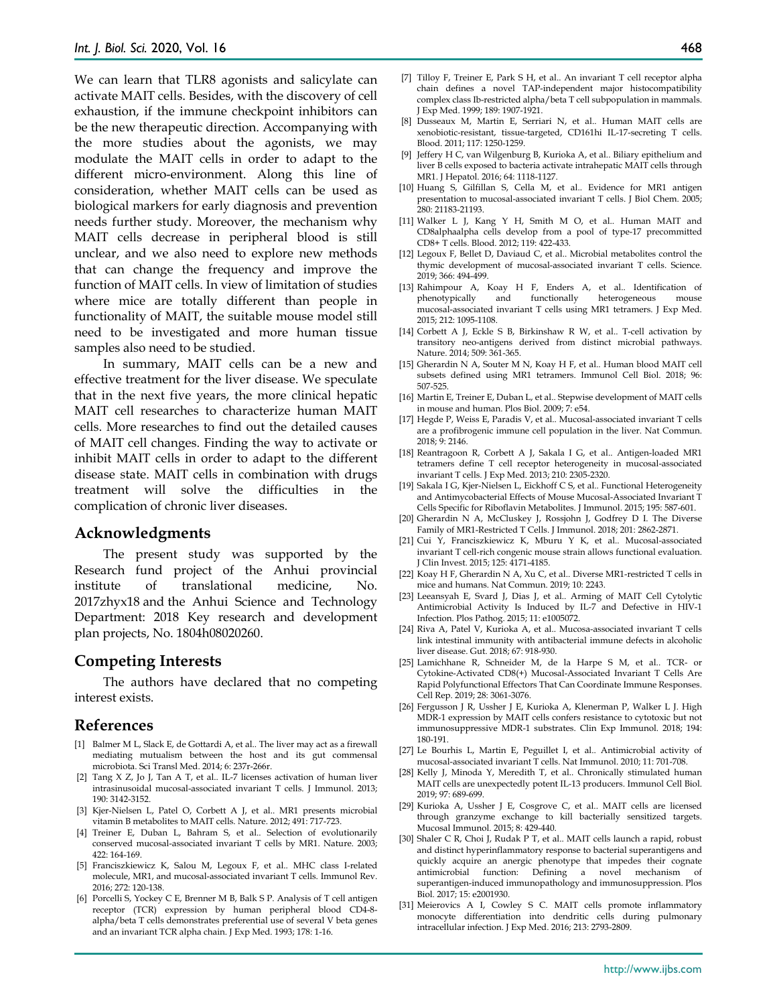We can learn that TLR8 agonists and salicylate can activate MAIT cells. Besides, with the discovery of cell exhaustion, if the immune checkpoint inhibitors can be the new therapeutic direction. Accompanying with the more studies about the agonists, we may modulate the MAIT cells in order to adapt to the different micro-environment. Along this line of consideration, whether MAIT cells can be used as biological markers for early diagnosis and prevention needs further study. Moreover, the mechanism why MAIT cells decrease in peripheral blood is still unclear, and we also need to explore new methods that can change the frequency and improve the function of MAIT cells. In view of limitation of studies where mice are totally different than people in functionality of MAIT, the suitable mouse model still need to be investigated and more human tissue samples also need to be studied.

In summary, MAIT cells can be a new and effective treatment for the liver disease. We speculate that in the next five years, the more clinical hepatic MAIT cell researches to characterize human MAIT cells. More researches to find out the detailed causes of MAIT cell changes. Finding the way to activate or inhibit MAIT cells in order to adapt to the different disease state. MAIT cells in combination with drugs treatment will solve the difficulties in the complication of chronic liver diseases.

#### **Acknowledgments**

The present study was supported by the Research fund project of the Anhui provincial institute of translational medicine, No. 2017zhyx18 and the Anhui Science and Technology Department: 2018 Key research and development plan projects, No. 1804h08020260.

#### **Competing Interests**

The authors have declared that no competing interest exists.

#### **References**

- [1] Balmer M L, Slack E, de Gottardi A, et al.. The liver may act as a firewall mediating mutualism between the host and its gut commensal microbiota. Sci Transl Med. 2014; 6: 237r-266r.
- [2] Tang X Z, Jo J, Tan A T, et al.. IL-7 licenses activation of human liver intrasinusoidal mucosal-associated invariant T cells. J Immunol. 2013; 190: 3142-3152.
- [3] Kjer-Nielsen L, Patel O, Corbett A J, et al.. MR1 presents microbial vitamin B metabolites to MAIT cells. Nature. 2012; 491: 717-723.
- [4] Treiner E, Duban L, Bahram S, et al.. Selection of evolutionarily conserved mucosal-associated invariant T cells by MR1. Nature. 2003; 422: 164-169.
- [5] Franciszkiewicz K, Salou M, Legoux F, et al.. MHC class I-related molecule, MR1, and mucosal-associated invariant T cells. Immunol Rev. 2016; 272: 120-138.
- [6] Porcelli S, Yockey C E, Brenner M B, Balk S P. Analysis of T cell antigen receptor (TCR) expression by human peripheral blood CD4-8 alpha/beta T cells demonstrates preferential use of several V beta genes and an invariant TCR alpha chain. J Exp Med. 1993; 178: 1-16.
- [7] Tilloy F, Treiner E, Park S H, et al.. An invariant T cell receptor alpha chain defines a novel TAP-independent major histocompatibility complex class Ib-restricted alpha/beta T cell subpopulation in mammals. J Exp Med. 1999; 189: 1907-1921.
- [8] Dusseaux M, Martin E, Serriari N, et al.. Human MAIT cells are xenobiotic-resistant, tissue-targeted, CD161hi IL-17-secreting T cells. Blood. 2011; 117: 1250-1259.
- [9] Jeffery H C, van Wilgenburg B, Kurioka A, et al.. Biliary epithelium and liver B cells exposed to bacteria activate intrahepatic MAIT cells through MR1. J Hepatol. 2016; 64: 1118-1127.
- [10] Huang S, Gilfillan S, Cella M, et al.. Evidence for MR1 antigen presentation to mucosal-associated invariant T cells. J Biol Chem. 2005; 280: 21183-21193.
- [11] Walker L J, Kang Y H, Smith M O, et al.. Human MAIT and CD8alphaalpha cells develop from a pool of type-17 precommitted CD8+ T cells. Blood. 2012; 119: 422-433.
- [12] Legoux F, Bellet D, Daviaud C, et al.. Microbial metabolites control the thymic development of mucosal-associated invariant T cells. Science. 2019; 366: 494-499.
- [13] Rahimpour A, Koay H F, Enders A, et al.. Identification of and functionally heterogeneous mouse mucosal-associated invariant T cells using MR1 tetramers. J Exp Med. 2015; 212: 1095-1108.
- [14] Corbett A J, Eckle S B, Birkinshaw R W, et al.. T-cell activation by transitory neo-antigens derived from distinct microbial pathways. Nature. 2014; 509: 361-365.
- [15] Gherardin N A, Souter M N, Koay H F, et al.. Human blood MAIT cell subsets defined using MR1 tetramers. Immunol Cell Biol. 2018; 96: 507-525.
- [16] Martin E, Treiner E, Duban L, et al.. Stepwise development of MAIT cells in mouse and human. Plos Biol. 2009; 7: e54.
- [17] Hegde P, Weiss E, Paradis V, et al.. Mucosal-associated invariant T cells are a profibrogenic immune cell population in the liver. Nat Commun. 2018; 9: 2146.
- [18] Reantragoon R, Corbett A J, Sakala I G, et al.. Antigen-loaded MR1 tetramers define T cell receptor heterogeneity in mucosal-associated invariant T cells. J Exp Med. 2013; 210: 2305-2320.
- [19] Sakala I G, Kjer-Nielsen L, Eickhoff C S, et al.. Functional Heterogeneity and Antimycobacterial Effects of Mouse Mucosal-Associated Invariant T Cells Specific for Riboflavin Metabolites. J Immunol. 2015; 195: 587-601.
- [20] Gherardin N A, McCluskey J, Rossjohn J, Godfrey D I. The Diverse Family of MR1-Restricted T Cells. J Immunol. 2018; 201: 2862-2871.
- [21] Cui Y, Franciszkiewicz K, Mburu Y K, et al.. Mucosal-associated invariant T cell-rich congenic mouse strain allows functional evaluation. J Clin Invest. 2015; 125: 4171-4185.
- [22] Koay H F, Gherardin N A, Xu C, et al.. Diverse MR1-restricted T cells in mice and humans. Nat Commun. 2019; 10: 2243.
- [23] Leeansyah E, Svard J, Dias J, et al.. Arming of MAIT Cell Cytolytic Antimicrobial Activity Is Induced by IL-7 and Defective in HIV-1 Infection. Plos Pathog. 2015; 11: e1005072.
- [24] Riva A, Patel V, Kurioka A, et al.. Mucosa-associated invariant T cells link intestinal immunity with antibacterial immune defects in alcoholic liver disease. Gut. 2018; 67: 918-930.
- [25] Lamichhane R, Schneider M, de la Harpe S M, et al.. TCR- or Cytokine-Activated CD8(+) Mucosal-Associated Invariant T Cells Are Rapid Polyfunctional Effectors That Can Coordinate Immune Responses. Cell Rep. 2019; 28: 3061-3076.
- [26] Fergusson J R, Ussher J E, Kurioka A, Klenerman P, Walker L J. High MDR-1 expression by MAIT cells confers resistance to cytotoxic but not immunosuppressive MDR-1 substrates. Clin Exp Immunol. 2018; 194: 180-191.
- [27] Le Bourhis L, Martin E, Peguillet I, et al.. Antimicrobial activity of mucosal-associated invariant T cells. Nat Immunol. 2010; 11: 701-708.
- [28] Kelly J, Minoda Y, Meredith T, et al.. Chronically stimulated human MAIT cells are unexpectedly potent IL-13 producers. Immunol Cell Biol. 2019; 97: 689-699.
- [29] Kurioka A, Ussher J E, Cosgrove C, et al.. MAIT cells are licensed through granzyme exchange to kill bacterially sensitized targets. Mucosal Immunol. 2015; 8: 429-440.
- [30] Shaler C R, Choi J, Rudak P T, et al.. MAIT cells launch a rapid, robust and distinct hyperinflammatory response to bacterial superantigens and quickly acquire an anergic phenotype that impedes their cognate antimicrobial function: Defining a novel mechanism of superantigen-induced immunopathology and immunosuppression. Plos Biol. 2017; 15: e2001930.
- [31] Meierovics A I, Cowley S C. MAIT cells promote inflammatory monocyte differentiation into dendritic cells during pulmonary intracellular infection. J Exp Med. 2016; 213: 2793-2809.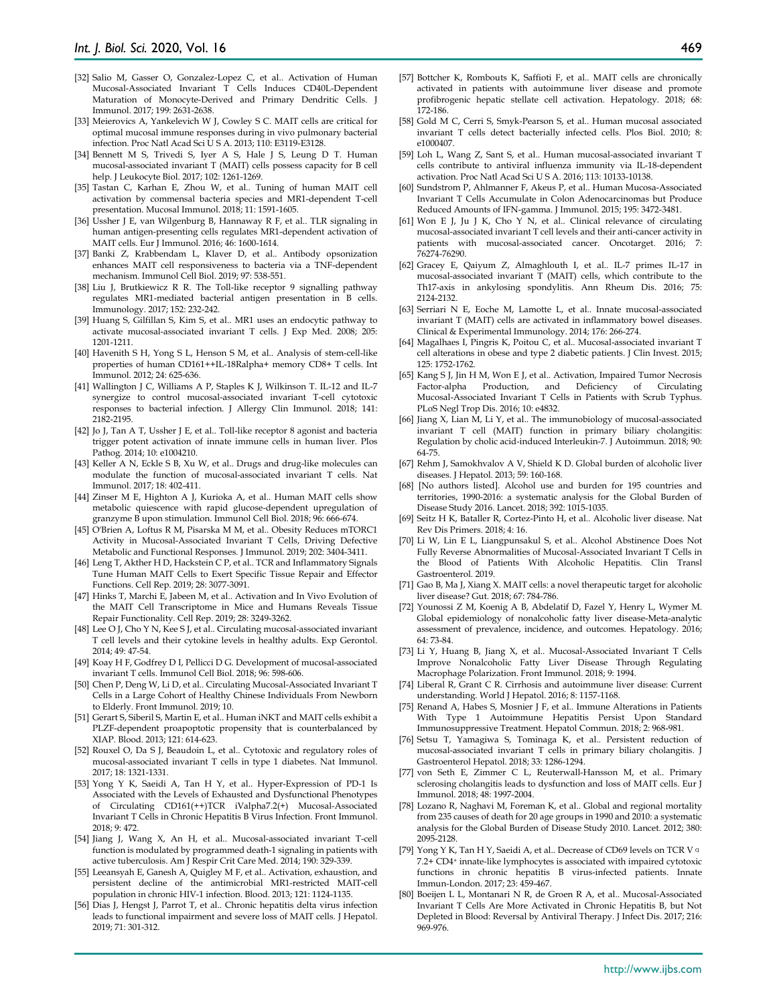- [32] Salio M, Gasser O, Gonzalez-Lopez C, et al.. Activation of Human Mucosal-Associated Invariant T Cells Induces CD40L-Dependent Maturation of Monocyte-Derived and Primary Dendritic Cells. J Immunol. 2017; 199: 2631-2638.
- [33] Meierovics A, Yankelevich W J, Cowley S C. MAIT cells are critical for optimal mucosal immune responses during in vivo pulmonary bacterial infection. Proc Natl Acad Sci U S A. 2013; 110: E3119-E3128.
- [34] Bennett M S, Trivedi S, Iyer A S, Hale J S, Leung D T. Human mucosal-associated invariant T (MAIT) cells possess capacity for B cell help. J Leukocyte Biol. 2017; 102: 1261-1269.
- [35] Tastan C, Karhan E, Zhou W, et al.. Tuning of human MAIT cell activation by commensal bacteria species and MR1-dependent T-cell presentation. Mucosal Immunol. 2018; 11: 1591-1605.
- [36] Ussher J E, van Wilgenburg B, Hannaway R F, et al.. TLR signaling in human antigen-presenting cells regulates MR1-dependent activation of MAIT cells. Eur J Immunol. 2016; 46: 1600-1614.
- [37] Banki Z, Krabbendam L, Klaver D, et al.. Antibody opsonization enhances MAIT cell responsiveness to bacteria via a TNF-dependent mechanism. Immunol Cell Biol. 2019; 97: 538-551.
- [38] Liu J, Brutkiewicz R R. The Toll-like receptor 9 signalling pathway regulates MR1-mediated bacterial antigen presentation in B cells. Immunology. 2017; 152: 232-242.
- [39] Huang S, Gilfillan S, Kim S, et al.. MR1 uses an endocytic pathway to activate mucosal-associated invariant T cells. J Exp Med. 2008; 205: 1201-1211.
- [40] Havenith S H, Yong S L, Henson S M, et al.. Analysis of stem-cell-like properties of human CD161++IL-18Ralpha+ memory CD8+ T cells. Int Immunol. 2012; 24: 625-636.
- [41] Wallington J C, Williams A P, Staples K J, Wilkinson T. IL-12 and IL-7 synergize to control mucosal-associated invariant T-cell cytotoxic responses to bacterial infection. J Allergy Clin Immunol. 2018; 141: 2182-2195.
- [42] Jo J, Tan A T, Ussher J E, et al.. Toll-like receptor 8 agonist and bacteria trigger potent activation of innate immune cells in human liver. Plos Pathog. 2014; 10: e1004210.
- [43] Keller A N, Eckle S B, Xu W, et al.. Drugs and drug-like molecules can modulate the function of mucosal-associated invariant T cells. Nat Immunol. 2017; 18: 402-411.
- [44] Zinser M E, Highton A J, Kurioka A, et al.. Human MAIT cells show metabolic quiescence with rapid glucose-dependent upregulation of granzyme B upon stimulation. Immunol Cell Biol. 2018; 96: 666-674.
- [45] O'Brien A, Loftus R M, Pisarska M M, et al.. Obesity Reduces mTORC1 Activity in Mucosal-Associated Invariant T Cells, Driving Defective Metabolic and Functional Responses. J Immunol. 2019; 202: 3404-3411.
- [46] Leng T, Akther H D, Hackstein C P, et al.. TCR and Inflammatory Signals Tune Human MAIT Cells to Exert Specific Tissue Repair and Effector Functions. Cell Rep. 2019; 28: 3077-3091.
- [47] Hinks T, Marchi E, Jabeen M, et al.. Activation and In Vivo Evolution of the MAIT Cell Transcriptome in Mice and Humans Reveals Tissue Repair Functionality. Cell Rep. 2019; 28: 3249-3262.
- [48] Lee O J, Cho Y N, Kee S J, et al.. Circulating mucosal-associated invariant T cell levels and their cytokine levels in healthy adults. Exp Gerontol. 2014; 49: 47-54.
- [49] Koay H F, Godfrey D I, Pellicci D G. Development of mucosal-associated invariant T cells. Immunol Cell Biol. 2018; 96: 598-606.
- [50] Chen P, Deng W, Li D, et al.. Circulating Mucosal-Associated Invariant T Cells in a Large Cohort of Healthy Chinese Individuals From Newborn to Elderly. Front Immunol. 2019; 10.
- [51] Gerart S, Siberil S, Martin E, et al.. Human iNKT and MAIT cells exhibit a PLZF-dependent proapoptotic propensity that is counterbalanced by XIAP. Blood. 2013; 121: 614-623.
- [52] Rouxel O, Da S J, Beaudoin L, et al., Cytotoxic and regulatory roles of mucosal-associated invariant T cells in type 1 diabetes. Nat Immunol. 2017; 18: 1321-1331.
- [53] Yong Y K, Saeidi A, Tan H Y, et al.. Hyper-Expression of PD-1 Is Associated with the Levels of Exhausted and Dysfunctional Phenotypes of Circulating CD161(++)TCR iValpha7.2(+) Mucosal-Associated Invariant T Cells in Chronic Hepatitis B Virus Infection. Front Immunol. 2018; 9: 472.
- [54] Jiang J, Wang X, An H, et al.. Mucosal-associated invariant T-cell function is modulated by programmed death-1 signaling in patients with active tuberculosis. Am J Respir Crit Care Med. 2014; 190: 329-339.
- [55] Leeansyah E, Ganesh A, Quigley M F, et al.. Activation, exhaustion, and persistent decline of the antimicrobial MR1-restricted MAIT-cell population in chronic HIV-1 infection. Blood. 2013; 121: 1124-1135.
- [56] Dias J, Hengst J, Parrot T, et al.. Chronic hepatitis delta virus infection leads to functional impairment and severe loss of MAIT cells. J Hepatol. 2019; 71: 301-312.
- [57] Bottcher K, Rombouts K, Saffioti F, et al.. MAIT cells are chronically activated in patients with autoimmune liver disease and promote profibrogenic hepatic stellate cell activation. Hepatology. 2018; 68: 172-186.
- [58] Gold M C, Cerri S, Smyk-Pearson S, et al.. Human mucosal associated invariant T cells detect bacterially infected cells. Plos Biol. 2010; 8: e1000407.
- [59] Loh L, Wang Z, Sant S, et al.. Human mucosal-associated invariant T cells contribute to antiviral influenza immunity via IL-18-dependent activation. Proc Natl Acad Sci U S A. 2016; 113: 10133-10138.
- [60] Sundstrom P, Ahlmanner F, Akeus P, et al.. Human Mucosa-Associated Invariant T Cells Accumulate in Colon Adenocarcinomas but Produce Reduced Amounts of IFN-gamma. J Immunol. 2015; 195: 3472-3481.
- [61] Won E J, Ju J K, Cho Y N, et al.. Clinical relevance of circulating mucosal-associated invariant T cell levels and their anti-cancer activity in patients with mucosal-associated cancer. Oncotarget. 2016; 7: 76274-76290.
- [62] Gracey E, Qaiyum Z, Almaghlouth I, et al.. IL-7 primes IL-17 in mucosal-associated invariant T (MAIT) cells, which contribute to the Th17-axis in ankylosing spondylitis. Ann Rheum Dis. 2016; 75: 2124-2132.
- [63] Serriari N E, Eoche M, Lamotte L, et al.. Innate mucosal-associated invariant T (MAIT) cells are activated in inflammatory bowel diseases. Clinical & Experimental Immunology. 2014; 176: 266-274.
- [64] Magalhaes I, Pingris K, Poitou C, et al.. Mucosal-associated invariant T cell alterations in obese and type 2 diabetic patients. J Clin Invest. 2015; 125: 1752-1762.
- [65] Kang S J, Jin H M, Won E J, et al.. Activation, Impaired Tumor Necrosis Factor-alpha Production, and Deficiency of Circulating Mucosal-Associated Invariant T Cells in Patients with Scrub Typhus. PLoS Negl Trop Dis. 2016; 10: e4832.
- [66] Jiang X, Lian M, Li Y, et al.. The immunobiology of mucosal-associated invariant T cell (MAIT) function in primary biliary cholangitis: Regulation by cholic acid-induced Interleukin-7. J Autoimmun. 2018; 90: 64-75.
- [67] Rehm J, Samokhvalov A V, Shield K D. Global burden of alcoholic liver diseases. J Hepatol. 2013; 59: 160-168.
- [68] [No authors listed]. Alcohol use and burden for 195 countries and territories, 1990-2016: a systematic analysis for the Global Burden of Disease Study 2016. Lancet. 2018; 392: 1015-1035.
- [69] Seitz H K, Bataller R, Cortez-Pinto H, et al.. Alcoholic liver disease. Nat Rev Dis Primers. 2018; 4: 16.
- [70] Li W, Lin E L, Liangpunsakul S, et al.. Alcohol Abstinence Does Not Fully Reverse Abnormalities of Mucosal-Associated Invariant T Cells in the Blood of Patients With Alcoholic Hepatitis. Clin Transl Gastroenterol. 2019.
- [71] Gao B, Ma J, Xiang X. MAIT cells: a novel therapeutic target for alcoholic liver disease? Gut. 2018; 67: 784-786.
- [72] Younossi Z M, Koenig A B, Abdelatif D, Fazel Y, Henry L, Wymer M. Global epidemiology of nonalcoholic fatty liver disease-Meta-analytic assessment of prevalence, incidence, and outcomes. Hepatology. 2016; 64: 73-84.
- [73] Li Y, Huang B, Jiang X, et al.. Mucosal-Associated Invariant T Cells Improve Nonalcoholic Fatty Liver Disease Through Regulating Macrophage Polarization. Front Immunol. 2018; 9: 1994.
- [74] Liberal R, Grant C R. Cirrhosis and autoimmune liver disease: Current understanding. World J Hepatol. 2016; 8: 1157-1168.
- [75] Renand A, Habes S, Mosnier J F, et al.. Immune Alterations in Patients With Type 1 Autoimmune Hepatitis Persist Upon Standard Immunosuppressive Treatment. Hepatol Commun. 2018; 2: 968-981.
- [76] Setsu T, Yamagiwa S, Tominaga K, et al.. Persistent reduction of mucosal-associated invariant T cells in primary biliary cholangitis. J Gastroenterol Hepatol. 2018; 33: 1286-1294.
- [77] von Seth E, Zimmer C L, Reuterwall-Hansson M, et al.. Primary sclerosing cholangitis leads to dysfunction and loss of MAIT cells. Eur J Immunol. 2018; 48: 1997-2004.
- [78] Lozano R, Naghavi M, Foreman K, et al.. Global and regional mortality from 235 causes of death for 20 age groups in 1990 and 2010: a systematic analysis for the Global Burden of Disease Study 2010. Lancet. 2012; 380: 2095-2128.
- [79] Yong Y K, Tan H Y, Saeidi A, et al.. Decrease of CD69 levels on TCR V a 7.2+ CD4+ innate-like lymphocytes is associated with impaired cytotoxic functions in chronic hepatitis B virus-infected patients. Innate Immun-London. 2017; 23: 459-467.
- [80] Boeijen L L, Montanari N R, de Groen R A, et al.. Mucosal-Associated Invariant T Cells Are More Activated in Chronic Hepatitis B, but Not Depleted in Blood: Reversal by Antiviral Therapy. J Infect Dis. 2017; 216: 969-976.